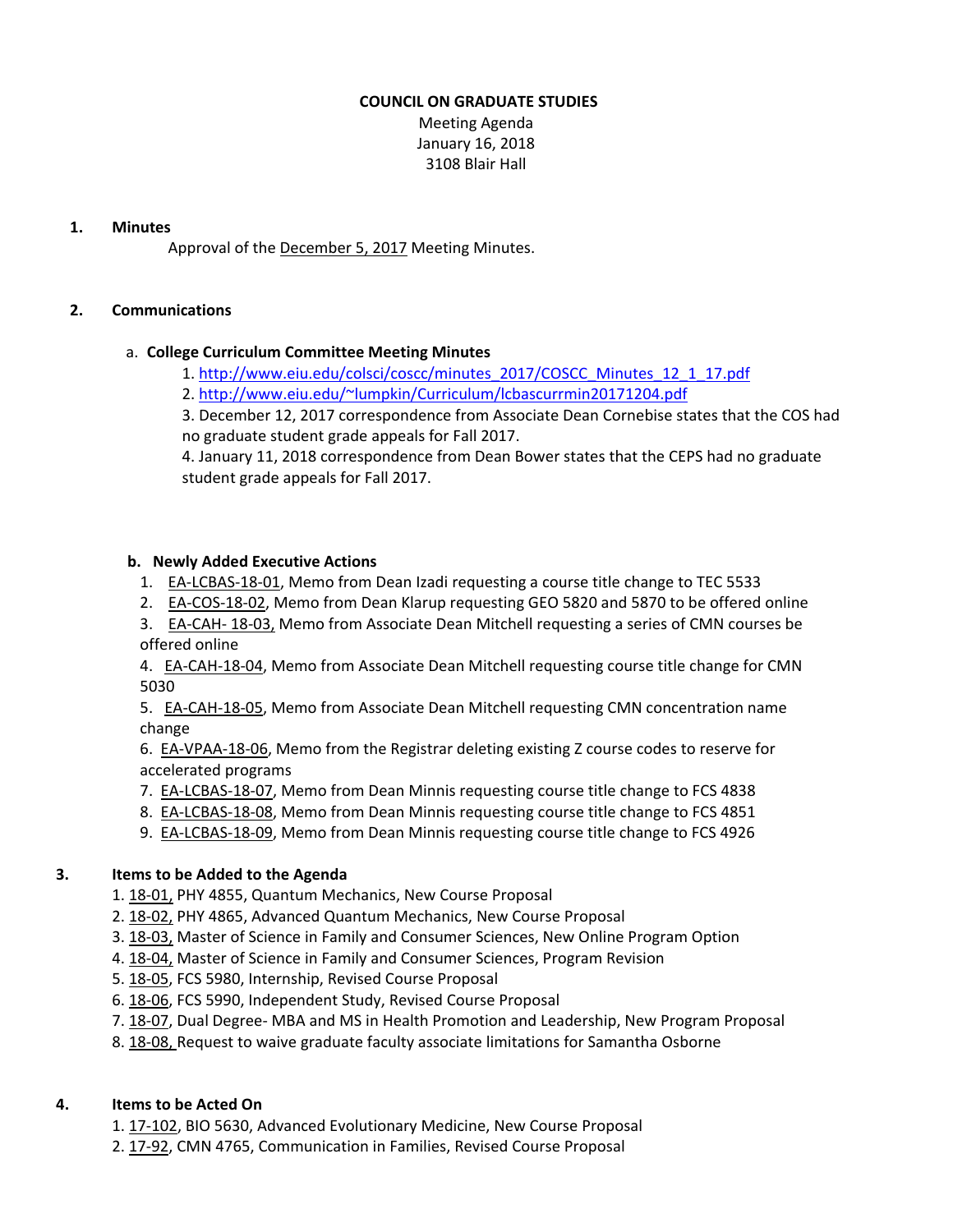# **COUNCIL ON GRADUATE STUDIES**

Meeting Agenda January 16, 2018 3108 Blair Hall

## **1. Minutes**

Approval of the [December](http://castle.eiu.edu/eiucgs/currentminutes/Minutes12-5-17.pdf) 5, 2017 Meeting Minutes.

# **2. Communications**

# a. **College Curriculum Committee Meeting Minutes**

- 1. [http://www.eiu.edu/colsci/coscc/minutes\\_2017/COSCC\\_Minutes\\_12\\_1\\_17.pdf](http://www.eiu.edu/colsci/coscc/minutes_2017/COSCC_Minutes_12_1_17.pdf)
- 2. <http://www.eiu.edu/~lumpkin/Curriculum/lcbascurrmin20171204.pdf>

3. December 12, 2017 correspondence from Associate Dean Cornebise states that the COS had no graduate student grade appeals for Fall 2017.

4. January 11, 2018 correspondence from Dean Bower states that the CEPS had no graduate student grade appeals for Fall 2017.

# **b. Newly Added Executive Actions**

- 1. EA-[LCBAS](http://castle.eiu.edu/eiucgs/exec-actions/EA-LCBAS-18-01.pdf)-18-01, Memo from Dean Izadi requesting a course title change to TEC 5533
- 2. EA-[COS](http://castle.eiu.edu/eiucgs/exec-actions/EA-COS-18-02.pdf)-18-02, Memo from Dean Klarup requesting GEO 5820 and 5870 to be offered online

3. **EA-[CAH](http://castle.eiu.edu/eiucgs/exec-actions/EA-CAH-18-03.pdf)-18-03**, Memo from Associate Dean Mitchell requesting a series of CMN courses be offered online

4. EA‐[CAH](http://castle.eiu.edu/eiucgs/exec-actions/EA-CAH-18-04.pdf)‐18‐04, Memo from Associate Dean Mitchell requesting course title change for CMN 5030

5. EA‐[CAH](http://castle.eiu.edu/eiucgs/exec-actions/EA-CAH-18-05.pdf)‐18‐05, Memo from Associate Dean Mitchell requesting CMN concentration name change

6. EA-[VPAA](http://castle.eiu.edu/eiucgs/exec-actions/EA-VPAA-18-06.pdf)-18-06, Memo from the Registrar deleting existing Z course codes to reserve for accelerated programs

- 7. EA‐[LCBAS](http://castle.eiu.edu/eiucgs/exec-actions/EA-LCBAS-18-07.pdf)‐18‐07, Memo from Dean Minnis requesting course title change to FCS 4838
- 8. EA‐[LCBAS](http://castle.eiu.edu/eiucgs/exec-actions/EA-LCBAS-18-08.pdf)‐18‐08, Memo from Dean Minnis requesting course title change to FCS 4851
- 9. EA‐[LCBAS](http://castle.eiu.edu/eiucgs/exec-actions/EA-LCBAS-18-09.pdf)‐18‐09, Memo from Dean Minnis requesting course title change to FCS 4926

# **3. Items to be Added to the Agenda**

- 1. 18‐[01,](http://castle.eiu.edu/eiucgs/currentagendaitems/agenda18-01.pdf) PHY 4855, Quantum Mechanics, New Course Proposal
- 2. 18‐[02,](http://castle.eiu.edu/eiucgs/currentagendaitems/agenda18-02.pdf) PHY 4865, Advanced Quantum Mechanics, New Course Proposal
- 3. 18-[03,](http://castle.eiu.edu/eiucgs/currentagendaitems/agenda18-03.pdf) Master of Science in Family and Consumer Sciences, New Online Program Option
- 4. 18-[04,](http://castle.eiu.edu/eiucgs/currentagendaitems/agenda18-04.pdf) Master of Science in Family and Consumer Sciences, Program Revision
- 5. 18‐[05,](http://castle.eiu.edu/eiucgs/currentagendaitems/agenda18-05.pdf) FCS 5980, Internship, Revised Course Proposal
- 6. 18‐[06,](http://castle.eiu.edu/eiucgs/currentagendaitems/agenda18-06.pdf) FCS 5990, Independent Study, Revised Course Proposal
- 7. 18‐[07,](http://castle.eiu.edu/eiucgs/currentagendaitems/agenda18-07.pdf) Dual Degree‐ MBA and MS in Health Promotion and Leadership, New Program Proposal
- 8. 18-[08,](http://castle.eiu.edu/eiucgs/currentagendaitems/agenda18-08.pdf) Request to waive graduate faculty associate limitations for Samantha Osborne

# **4. Items to be Acted On**

1. 17‐[102](http://castle.eiu.edu/eiucgs/currentagendaitems/agenda17-102.pdf), BIO 5630, Advanced Evolutionary Medicine, New Course Proposal

2. 17-[92,](http://castle.eiu.edu/eiucgs/currentagendaitems/agenda17-92.pdf) CMN 4765, Communication in Families, Revised Course Proposal